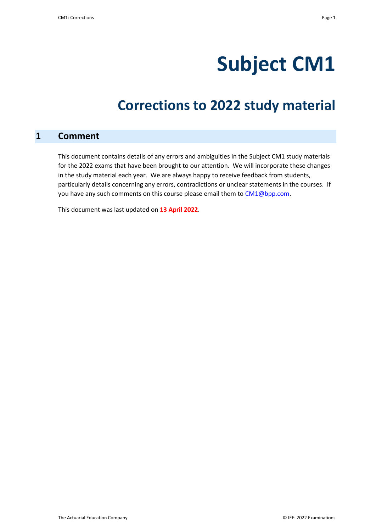# **Subject CM1**

# **Corrections to 2022 study material**

#### **1 Comment**

This document contains details of any errors and ambiguities in the Subject CM1 study materials for the 2022 exams that have been brought to our attention. We will incorporate these changes in the study material each year. We are always happy to receive feedback from students, particularly details concerning any errors, contradictions or unclear statements in the courses. If you have any such comments on this course please email them to [CM1@bpp.com.](mailto:CM1@bpp.com)

This document was last updated on **13 April 2022**.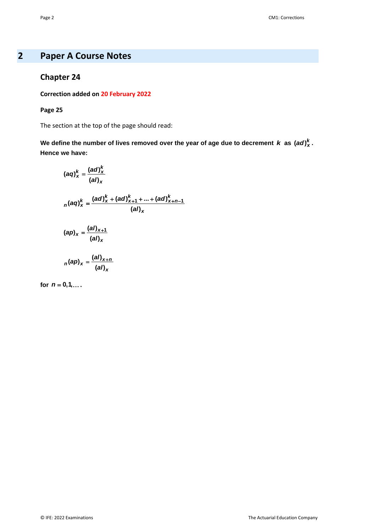# **2 Paper A Course Notes**

## **Chapter 24**

#### **Correction added on 20 February 2022**

#### **Page 25**

The section at the top of the page should read:

We define the number of lives removed over the year of age due to decrement *k* as  $(ad)_x^k$ . **Hence we have:**

$$
(aq)_x^k = \frac{(ad)_x^k}{(al)_x}
$$
  

$$
n(aq)_x^k = \frac{(ad)_x^k + (ad)_{x+1}^k + ... + (ad)_{x+n-1}^k}{(al)_x}
$$
  

$$
(ap)_x = \frac{(al)_{x+1}}{(al)_x}
$$
  

$$
n(ap)_x = \frac{(al)_{x+n}}{(al)_{x+n}}
$$

$$
(al)_x
$$

**for**  $n = 0, 1, ...$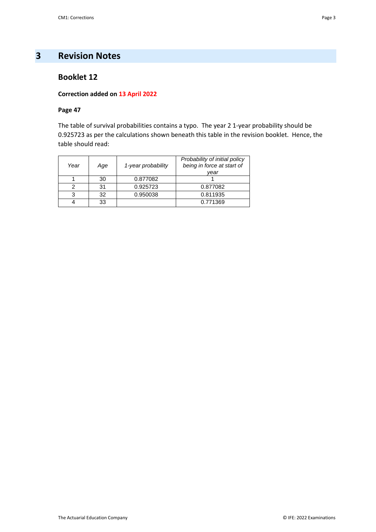# **3 Revision Notes**

#### **Booklet 12**

#### **Correction added on 13 April 2022**

#### **Page 47**

The table of survival probabilities contains a typo. The year 2 1-year probability should be 0.925723 as per the calculations shown beneath this table in the revision booklet. Hence, the table should read:

| Year | Age | 1-year probability | Probability of initial policy<br>being in force at start of<br>vear |
|------|-----|--------------------|---------------------------------------------------------------------|
|      | 30  | 0.877082           |                                                                     |
|      | 31  | 0.925723           | 0.877082                                                            |
| 3    | 32  | 0.950038           | 0.811935                                                            |
|      | 33  |                    | 0.771369                                                            |